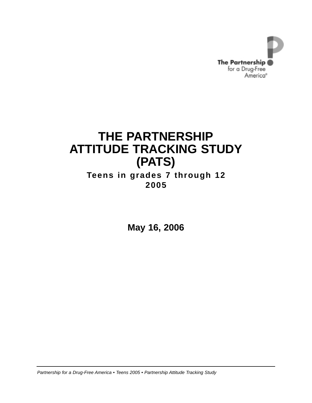

# **THE PARTNERSHIP ATTITUDE TRACKING STUDY (PATS)**

## **Teens in grades 7 through 12 2005**

**May 16, 2006**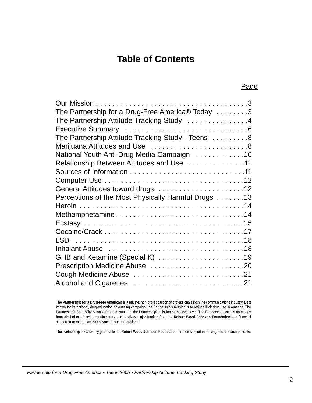## **Table of Contents**

| The Partnership for a Drug-Free America® Today 3    |  |
|-----------------------------------------------------|--|
| The Partnership Attitude Tracking Study 4           |  |
|                                                     |  |
| The Partnership Attitude Tracking Study - Teens 8   |  |
|                                                     |  |
| National Youth Anti-Drug Media Campaign 10          |  |
| Relationship Between Attitudes and Use 11           |  |
|                                                     |  |
|                                                     |  |
|                                                     |  |
| Perceptions of the Most Physically Harmful Drugs 13 |  |
|                                                     |  |
|                                                     |  |
|                                                     |  |
|                                                     |  |
|                                                     |  |
|                                                     |  |
| GHB and Ketamine (Special K) 19                     |  |
| Prescription Medicine Abuse 20                      |  |
| 21. Cough Medicine Abuse 21                         |  |
|                                                     |  |

The **Partnership for a Drug-Free America®** is a private, non-profit coalition of professionals from the communications industry. Best known for its national, drug-education advertising campaign, the Partnership's mission is to reduce illicit drug use in America. The Partnership's State/City Alliance Program supports the Partnership's mission at the local level. The Partnership accepts no money from alcohol or tobacco manufacturers and receives major funding from the **Robert Wood Johnson Foundation** and financial support from more than 200 private sector corporations.

The Partnership is extremely grateful to the **Robert Wood Johnson Foundation** for their support in making this research possible.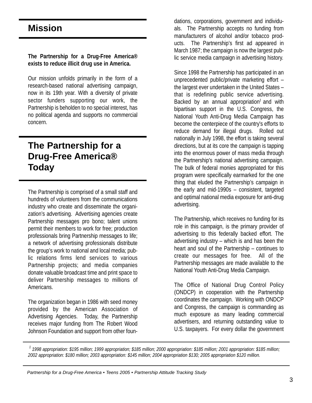# **Mission**

#### **The Partnership for a Drug-Free America® exists to reduce illicit drug use in America.**

Our mission unfolds primarily in the form of a research-based national advertising campaign, now in its 19th year. With a diversity of private sector funders supporting our work, the Partnership is beholden to no special interest, has no political agenda and supports no commercial concern.

# **The Partnership for a Drug-Free America® Today**

The Partnership is comprised of a small staff and hundreds of volunteers from the communications industry who create and disseminate the organization's advertising. Advertising agencies create Partnership messages pro bono; talent unions permit their members to work for free; production professionals bring Partnership messages to life; a network of advertising professionals distribute the group's work to national and local media; public relations firms lend services to various Partnership projects; and media companies donate valuable broadcast time and print space to deliver Partnership messages to millions of Americans.

The organization began in 1986 with seed money provided by the American Association of Advertising Agencies. Today, the Partnership receives major funding from The Robert Wood Johnson Foundation and support from other foundations, corporations, government and individuals. The Partnership accepts no funding from manufacturers of alcohol and/or tobacco products. The Partnership's first ad appeared in March 1987; the campaign is now the largest public service media campaign in advertising history.

Since 1998 the Partnership has participated in an unprecedented public/private marketing effort – the largest ever undertaken in the United States – that is redefining public service advertising. Backed by an annual appropriation<sup>7</sup> and with bipartisan support in the U.S. Congress, the National Youth Anti-Drug Media Campaign has become the centerpiece of the country's efforts to reduce demand for illegal drugs. Rolled out nationally in July 1998, the effort is taking several directions, but at its core the campaign is tapping into the enormous power of mass media through the Partnership's national advertising campaign. The bulk of federal monies appropriated for this program were specifically earmarked for the one thing that eluded the Partnership's campaign in the early and mid-1990s – consistent, targeted and optimal national media exposure for anti-drug advertising.

The Partnership, which receives no funding for its role in this campaign, is the primary provider of advertising to this federally backed effort. The advertising industry – which is and has been the heart and soul of the Partnership – continues to create our messages for free. All of the Partnership messages are made available to the National Youth Anti-Drug Media Campaign.

The Office of National Drug Control Policy (ONDCP) in cooperation with the Partnership coordinates the campaign. Working with ONDCP and Congress, the campaign is commanding as much exposure as many leading commercial advertisers, and returning outstanding value to U.S. taxpayers. For every dollar the government

*1998 appropriation: \$195 million; 1999 appropriation; \$185 million; 2000 appropriation: \$185 million; 2001 appropriation: \$185 million; 1 2002 appropriation: \$180 million; 2003 appropriation: \$145 million; 2004 appropriation \$130; 2005 appropriation \$120 million.*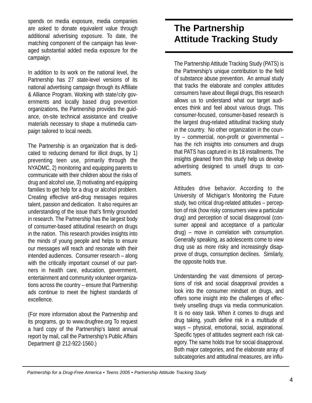spends on media exposure, media companies are asked to donate equivalent value through additional advertising exposure. To date, the matching component of the campaign has leveraged substantial added media exposure for the campaign.

In addition to its work on the national level, the Partnership has 27 state-level versions of its national advertising campaign through its Affiliate & Alliance Program. Working with state/city governments and locally based drug prevention organizations, the Partnership provides the guidance, on-site technical assistance and creative materials necessary to shape a mutimedia campaign tailored to local needs.

The Partnership is an organization that is dedicated to reducing demand for illicit drugs, by 1) preventing teen use, primarily through the NYADMC, 2) monitoring and equipping parents to communicate with their children about the risks of drug and alcohol use, 3) motivating and equipping families to get help for a drug or alcohol problem. Creating effective anti-drug messages requires talent, passion and dedication. It also requires an understanding of the issue that's firmly grounded in research. The Partnership has the largest body of consumer-based attitudinal research on drugs in the nation. This research provides insights into the minds of young people and helps to ensure our messages will reach and resonate with their intended audiences. Consumer research – along with the critically important counsel of our partners in health care, education, government, entertainment and community volunteer organizations across the country – ensure that Partnership ads continue to meet the highest standards of excellence.

(For more information about the Partnership and its programs, go to www.drugfree.org To request a hard copy of the Partnership's latest annual report by mail, call the Partnership's Public Affairs Department @ 212-922-1560.)

# **The Partnership Attitude Tracking Study**

The Partnership Attitude Tracking Study (PATS) is the Partnership's unique contribution to the field of substance abuse prevention. An annual study that tracks the elaborate and complex attitudes consumers have about illegal drugs, this research allows us to understand what our target audiences think and feel about various drugs. This consumer-focused, consumer-based research is the largest drug-related attitudinal tracking study in the country. No other organization in the country – commercial, non-profit or governmental – has the rich insights into consumers and drugs that PATS has captured in its 18 installments. The insights gleaned from this study help us develop advertising designed to unsell drugs to consumers.

Attitudes drive behavior. According to the University of Michigan's Monitoring the Future study, two critical drug-related attitudes – perception of risk (how risky consumers view a particular drug) and perception of social disapproval (consumer appeal and acceptance of a particular drug) – move in correlation with consumption. Generally speaking, as adolescents come to view drug use as more risky and increasingly disapprove of drugs, consumption declines. Similarly, the opposite holds true.

Understanding the vast dimensions of perceptions of risk and social disapproval provides a look into the consumer mindset on drugs, and offers some insight into the challenges of effectively unselling drugs via media communication. It is no easy task. When it comes to drugs and drug taking, youth define risk in a multitude of ways – physical, emotional, social, aspirational. Specific types of attitudes segment each risk category. The same holds true for social disapproval. Both major categories, and the elaborate array of subcategories and attitudinal measures, are influ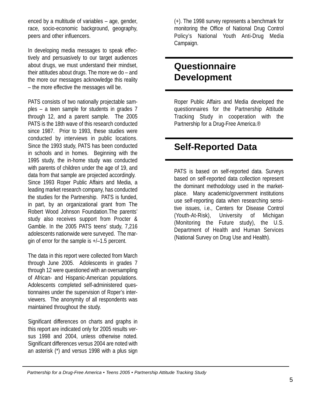enced by a multitude of variables – age, gender, race, socio-economic background, geography, peers and other influencers.

In developing media messages to speak effectively and persuasively to our target audiences about drugs, we must understand their mindset, their attitudes about drugs. The more we do – and the more our messages acknowledge this reality – the more effective the messages will be.

PATS consists of two nationally projectable samples – a teen sample for students in grades 7 through 12, and a parent sample. The 2005 PATS is the 18th wave of this research conducted since 1987. Prior to 1993, these studies were conducted by interviews in public locations. Since the 1993 study, PATS has been conducted in schools and in homes. Beginning with the 1995 study, the in-home study was conducted with parents of children under the age of 19, and data from that sample are projected accordingly. Since 1993 Roper Public Affairs and Media, a leading market research company, has conducted the studies for the Partnership. PATS is funded, in part, by an organizational grant from The Robert Wood Johnson Foundation.The parents' study also receives support from Procter & Gamble. In the 2005 PATS teens' study, 7,216 adolescents nationwide were surveyed. The margin of error for the sample is +/–1.5 percent.

The data in this report were collected from March through June 2005. Adolescents in grades 7 through 12 were questioned with an oversampling of African- and Hispanic-American populations. Adolescents completed self-administered questionnaires under the supervision of Roper's interviewers. The anonymity of all respondents was maintained throughout the study.

Significant differences on charts and graphs in this report are indicated only for 2005 results versus 1998 and 2004, unless otherwise noted. Significant differences versus 2004 are noted with an asterisk (\*) and versus 1998 with a plus sign

(+). The 1998 survey represents a benchmark for monitoring the Office of National Drug Control Policy's National Youth Anti-Drug Media Campaign.

# **Questionnaire Development**

Roper Public Affairs and Media developed the questionnaires for the Partnership Attitude Tracking Study in cooperation with the Partnership for a Drug-Free America.®

# **Self-Reported Data**

PATS is based on self-reported data. Surveys based on self-reported data collection represent the dominant methodology used in the marketplace. Many academic/government institutions use self-reporting data when researching sensitive issues, i.e., Centers for Disease Control (Youth-At-Risk), University of Michigan (Monitoring the Future study), the U.S. Department of Health and Human Services (National Survey on Drug Use and Health).

*Partnership for a Drug-Free America • Teens 2005 • Partnership Attitude Tracking Study*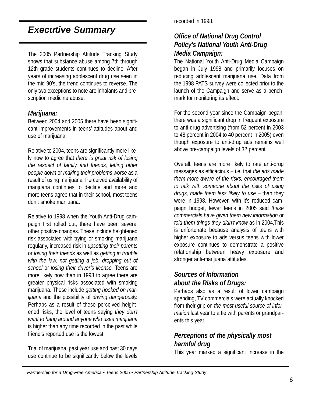## *Executive Summary*

The 2005 Partnership Attitude Tracking Study shows that substance abuse among 7th through 12th grade students continues to decline. After years of increasing adolescent drug use seen in the mid 90's, the trend continues to reverse. The only two exceptions to note are inhalants and prescription medicine abuse.

#### *Marijuana:*

Between 2004 and 2005 there have been significant improvements in teens' attitudes about and use of marijuana.

Relative to 2004, teens are significantly more likely now to agree that *there is great risk of losing the respect of family and friends, letting other people down* or *making their problems worse* as a result of using marijuana. Perceived availability of marijuana continues to decline and more and more teens agree that in their school, most teens don't smoke marijuana.

Relative to 1998 when the Youth Anti-Drug campaign first rolled out, there have been several other positive changes. These include heightened risk associated with trying or smoking marijuana regularly, increased risk in *upsetting their parents* or *losing their friends* as well as *getting in trouble with the law, not getting a job, dropping out of school* or *losing their driver's license.* Teens are more likely now than in 1998 to agree there are greater physical risks associated with smoking marijuana. These include *getting hooked on marijuana* and the possibility of *driving dangerously.* Perhaps as a result of these perceived heightened risks, the level of teens saying *they don't want to hang around anyone who uses marijuana* is higher than any time recorded in the past while friend's reported use is the lowest.

Trial of marijuana, past year use and past 30 days use continue to be significantly below the levels recorded in 1998.

#### *Office of National Drug Control Policy's National Youth Anti-Drug Media Campaign:*

The National Youth Anti-Drug Media Campaign began in July 1998 and primarily focuses on reducing adolescent marijuana use. Data from the 1998 PATS survey were collected prior to the launch of the Campaign and serve as a benchmark for monitoring its effect.

For the second year since the Campaign began, there was a significant drop in frequent exposure to anti-drug advertising (from 52 percent in 2003 to 48 percent in 2004 to 40 percent in 2005) even though exposure to anti-drug ads remains well above pre-campaign levels of 32 percent.

Overall, teens are more likely to rate anti-drug messages as efficacious – i.e. that *the ads made them more aware of the risks, encouraged them to talk with someone about the risks of using drugs, made them less likely to use* – than they were in 1998. However, with it's reduced campaign budget, fewer teens in 2005 said *these commercials have given them new information* or *told them things they didn't know* as in 2004.This is unfortunate because analysis of teens with higher exposure to ads versus teens with lower exposure continues to demonstrate a positive relationship between heavy exposure and stronger anti-marijuana attitudes.

#### *Sources of Information about the Risks of Drugs:*

Perhaps also as a result of lower campaign spending, TV commercials were actually knocked from their grip on *the most useful source of information* last year to a tie with parents or grandparents this year.

#### *Perceptions of the physically most harmful drug*

This year marked a significant increase in the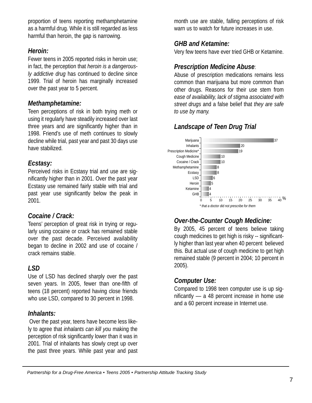proportion of teens reporting methamphetamine as a harmful drug. While it is still regarded as less harmful than heroin, the gap is narrowing.

#### *Heroin:*

Fewer teens in 2005 reported risks in heroin use; in fact, the perception that *heroin is a dangerously addictive drug* has continued to decline since 1999. Trial of heroin has marginally increased over the past year to 5 percent.

#### *Methamphetamine:*

Teen perceptions of risk in both trying meth or using it regularly have steadily increased over last three years and are significantly higher than in 1998. Friend's use of meth continues to slowly decline while trial, past year and past 30 days use have stabilized.

#### *Ecstasy:*

Perceived risks in Ecstasy trial and use are significantly higher than in 2001. Over the past year Ecstasy use remained fairly stable with trial and past year use significantly below the peak in 2001.

#### *Cocaine / Crack:*

Teens' perception of great risk in trying or regularly using cocaine or crack has remained stable over the past decade. Perceived availability began to decline in 2002 and use of cocaine / crack remains stable.

#### *LSD*

Use of LSD has declined sharply over the past seven years. In 2005, fewer than one-fifth of teens (18 percent) reported having close friends who use LSD, compared to 30 percent in 1998.

#### *Inhalants:*

Over the past year, teens have become less likely to agree that *inhalants can kill you* making the perception of risk significantly lower than it was in 2001. Trial of inhalants has slowly crept up over the past three years. While past year and past month use are stable, falling perceptions of risk warn us to watch for future increases in use.

## *GHB and Ketamine:*

Very few teens have ever tried GHB or Ketamine.

### *Prescription Medicine Abuse*:

Abuse of prescription medications remains less common than marijuana but more common than other drugs. Reasons for their use stem from *ease of availability, lack of stigma associated with street drugs* and a false belief that *they are safe to use by many.*

## *Landscape of Teen Drug Trial*



### *Over-the-Counter Cough Medicine:*

By 2005, 45 percent of teens believe taking cough medicines to get high is risky -- significantly higher than last year when 40 percent believed this. But actual use of cough medicine to get high remained stable (9 percent in 2004; 10 percent in 2005).

### *Computer Use:*

Compared to 1998 teen computer use is up significantly –– a 48 percent increase in home use and a 60 percent increase in Internet use.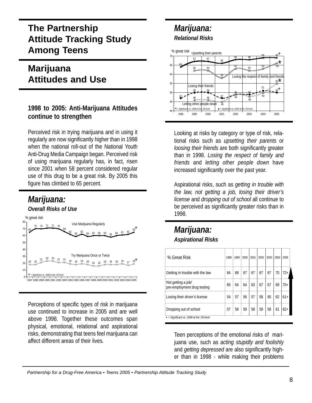# **The Partnership Attitude Tracking Study Among Teens**

# **Marijuana Attitudes and Use**

#### **1998 to 2005: Anti-Marijuana Attitudes continue to strengthen**

Perceived risk in trying marijuana and in using it regularly are now significantly higher than in 1998 when the national roll-out of the National Youth Anti-Drug Media Campaign began. Perceived risk of using marijuana regularly has, in fact, risen since 2001 when 58 percent considered regular use of this drug to be a great risk. By 2005 this figure has climbed to 65 percent.

# *Marijuana:*



Perceptions of specific types of risk in marijuana use continued to increase in 2005 and are well above 1998. Together these outcomes span physical, emotional, relational and aspirational risks, demonstrating that teens feel marijuana can affect different areas of their lives.

## *Marijuana: Relational Risks*



Looking at risks by category or type of risk, relational risks such as *upsetting their parents* or *loosing their friends* are both significantly greater than in 1998. *Losing the respect of family and friends* and *letting other people down* have increased significantly over the past year.

Aspirational risks, such as *getting in trouble with the law, not getting a job, losing their driver's license* and *dropping out of school* all continue to be perceived as significantly greater risks than in 1998.

### *Marijuana: Aspirational Risks*

| % Great Risk                                      | 1998 | 1999 | 2000 | 2001 | 2002 | 2003 | 2004 | 2005  |
|---------------------------------------------------|------|------|------|------|------|------|------|-------|
| Getting in trouble with the law                   | 64   | 68   | 67   | 67   | 67   | 67   | 70   | $72+$ |
| Not getting a job/<br>pre-employment drug testing | 65   | 64   | 64   | 63   | 67   | 67   | 69   | $70+$ |
| Losing their driver's license                     | 54   | 57   | 56   | 57   | 58   | 60   | 62   | $61+$ |
| Dropping out of school                            | 57   | 58   | 59   | 58   | 59   | 58   | 61   | $62+$ |
| $+$ = Significant vs. 1998 at the .05 level       |      |      |      |      |      |      |      |       |

Teen perceptions of the emotional risks of marijuana use, such as *acting stupidly and foolishly* and *getting depressed* are also significantly higher than in 1998 - while making their problems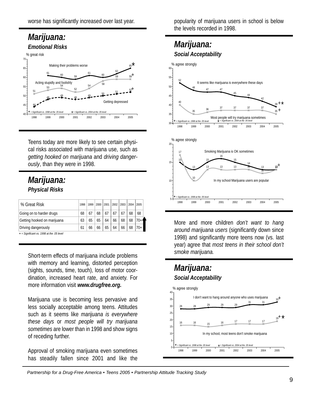## *Marijuana: Emotional Risks*



Teens today are more likely to see certain physical risks associated with marijuana use, such as *getting hooked on marijuana* and *driving dangerously*, than they were in 1998.

## *Marijuana: Physical Risks*

| % Great Risk                                | 1998 | 1999 |    | 2000   2001   2002   2003 |    |    | 2004 | 2005  |
|---------------------------------------------|------|------|----|---------------------------|----|----|------|-------|
| Going on to harder drugs                    | 68   | 67   | 68 | 67                        | 67 | 67 | 68   | 68    |
| Getting hooked on marijuana                 | 63   | 65   | 65 | 64                        | 66 | 68 | 68   | 70+   |
| Driving dangerously                         | 61   | 66   | 66 | 65                        | 64 | 66 | 68   | $70+$ |
| $+$ = Significant vs. 1998 at the .05 level |      |      |    |                           |    |    |      |       |

Short-term effects of marijuana include problems with memory and learning, distorted perception (sights, sounds, time, touch), loss of motor coordination, increased heart rate, and anxiety. For more information visit *www.drugfree.org.*

Marijuana use is becoming less pervasive and less socially acceptable among teens. Attitudes such as it seems like *marijuana is everywhere these days* or *most people will try marijuana sometimes* are lower than in 1998 and show signs of receding further.

Approval of smoking marijuana even sometimes has steadily fallen since 2001 and like the

popularity of marijuana users in school is below the levels recorded in 1998.

## *Marijuana: Social Acceptability*



More and more children *don't want to hang around marijuana users* (significantly down since 1998) and significantly more teens now (vs. last year) agree that *most teens in their school don't smoke marijuana.*

### *Marijuana: Social Acceptability*

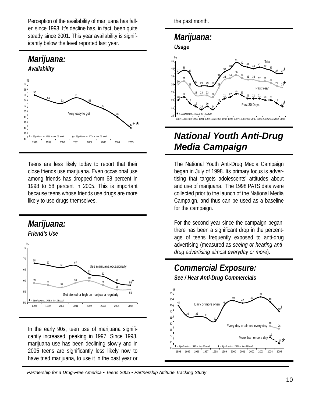Perception of the availability of marijuana has fallen since 1998. It's decline has, in fact, been quite steady since 2001. This year availability is significantly below the level reported last year.



Teens are less likely today to report that their close friends use marijuana. Even occasional use among friends has dropped from 68 percent in 1998 to 58 percent in 2005. This is important because teens whose friends use drugs are more likely to use drugs themselves.



In the early 90s, teen use of marijuana significantly increased, peaking in 1997. Since 1998, marijuana use has been declining slowly and in 2005 teens are significantly less likely now to have tried marijuana, to use it in the past year or the past month.

### *Marijuana: Usage*



# *National Youth Anti-Drug Media Campaign*

The National Youth Anti-Drug Media Campaign began in July of 1998. Its primary focus is advertising that targets adolescents' attitudes about and use of marijuana. The 1998 PATS data were collected prior to the launch of the National Media Campaign, and thus can be used as a baseline for the campaign.

For the second year since the campaign began, there has been a significant drop in the percentage of teens frequently exposed to anti-drug advertising (measured as *seeing or hearing antidrug advertising almost everyday or more*).

# *Commercial Exposure:*

*See / Hear Anti-Drug Commercials*

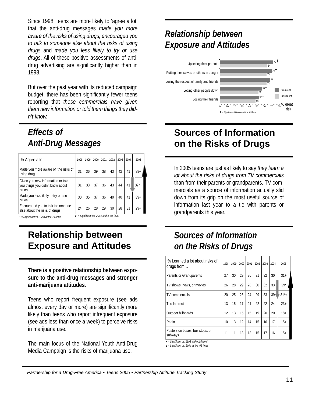Since 1998, teens are more likely to 'agree a lot' that the anti-drug messages *made you more aware of the risks of using drugs, encouraged you to talk to someone else about the risks of using drugs* and *made you less likely to try or use drugs*. All of these positive assessments of antidrug advertising are significantly higher than in 1998.

But over the past year with its reduced campaign budget, there has been significantly fewer teens reporting that *these commercials have given them new information or told them things they didn't know.*

## *Effects of Anti-Drug Messages*

| % Agree a lot                                                                                | 1998 | 1999 | 2000 | 2001 | 2002 | 2003 | 2004 | 2005     |  |
|----------------------------------------------------------------------------------------------|------|------|------|------|------|------|------|----------|--|
| Made you more aware of the risks of<br>using drugs                                           | 31   | 36   | 39   | 38   | 43   | 42   | 41   | $38+$    |  |
| Given you new information or told<br>you things you didn't know about<br><i><b>Aruns</b></i> | 31   | 33   | 37   | 36   | 43   | 44   | 41   | $37^*$ + |  |
| Made you less likely to try or use<br><b>drune</b>                                           | 30   | 35   | 37   | 36   | 40   | 40   | 41   | $39+$    |  |
| Encouraged you to talk to someone<br>else about the risks of drugs                           | 24   | 26   | 28   | 29   | 30   | 28   | 31   | $29+$    |  |
| $*$ = Significant vs. 2004 at the .05 level<br>$+$ = Significant vs. 1998 at the .05 level   |      |      |      |      |      |      |      |          |  |

## **Relationship between Exposure and Attitudes**

**There is a positive relationship between exposure to the anti-drug messages and stronger anti-marijuana attitudes.** 

Teens who report frequent exposure (see ads almost every day or more) are significantly more likely than teens who report infrequent exposure (see ads less than once a week) to perceive risks in marijuana use.

The main focus of the National Youth Anti-Drug Media Campaign is the risks of marijuana use.

# *Relationship between Exposure and Attitudes*



## **Sources of Information on the Risks of Drugs**

In 2005 teens are just as likely to say *they learn a lot about the risks of drugs from TV commercials* than from their parents or grandparents. TV commercials as a source of information actually slid down from its grip on the most useful source of information last year to a tie with parents or grandparents this year.

# *Sources of Information on the Risks of Drugs*

| 1998 | 1999 | 2000 | 2001 | 2002 | 2003 | 2004   | 2005      |
|------|------|------|------|------|------|--------|-----------|
| 27   | 30   | 29   | 30   | 31   | 32   | 30     | $31+$     |
| 26   | 28   | 29   | 28   | 30   | 32   | 33     | $29*$     |
| 20   | 25   | 26   | 24   | 29   | 33   | $39 -$ | $31^{*}+$ |
| 13   | 15   | 17   | 21   | 22   | 22   | 24     | $23+$     |
| 12   | 13   | 15   | 15   | 19   | 20   | 20     | $18+$     |
| 10   | 13   | 12   | 14   | 15   | 16   | 17     | $15+$     |
| 11   | 11   | 13   | 13   | 15   | 17   | 16     | $15+$     |
|      |      |      |      |      |      |        |           |

**+** *= Significant vs. 1998 at the .05 level*

*\**  = *Significant vs. 2004 at the .05 level*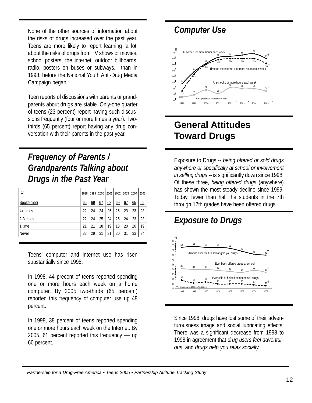None of the other sources of information about the risks of drugs increased over the past year. Teens are more likely to report learning 'a lot' about the risks of drugs from TV shows or movies, school posters, the internet, outdoor billboards, radio, posters on buses or subways, than in 1998, before the National Youth Anti-Drug Media Campaign began.

Teen reports of discussions with parents or grandparents about drugs are stable. Only-one quarter of teens (23 percent) report having such discussions frequently (four or more times a year). Twothirds (65 percent) report having any drug conversation with their parents in the past year.

# *Frequency of Parents / Grandparents Talking about Drugs in the Past Year*

| %           | 1998 | 1999 | 2000 | 2001 | 2002 | 2003 | 2004 | 2005 |
|-------------|------|------|------|------|------|------|------|------|
| Spoke (net) | 65   | 69   | 67   | 68   | 69   | 67   | 65   | 65   |
| $4+$ times  | 22   | 24   | 24   | 25   | 26   | 23   | 23   | 23   |
| 2-3 times   | 22   | 24   | 25   | 24   | 25   | 24   | 23   | 23   |
| 1 time      | 21   | 21   | 18   | 19   | 18   | 20   | 20   | 19   |
| Never       | 33   | 29   | 31   | 31   | 30   | 31   | 33   | 34   |

Teens' computer and internet use has risen substantially since 1998.

In 1998, 44 precent of teens reported spending one or more hours each week on a home computer. By 2005 two-thirds (65 percent) reported this frequency of computer use up 48 percent.

In 1998, 38 percent of teens reported spending one or more hours each week on the Internet. By 2005, 61 percent reported this frequency –– up 60 percent.

## *Computer Use*



# **General Attitudes Toward Drugs**

Exposure to Drugs -- *being offered or sold drugs anywhere or specifically at school or involvement in selling drugs* -- is significantly down since 1998. Of these three, *being offered drugs* (anywhere) has shown the most steady decline since 1999. Today, fewer than half the students in the 7th through 12th grades have been offered drugs.



Since 1998, drugs have lost some of their adventurousness image and social lubricating effects. There was a significant decrease from 1998 to 1998 in agreement that *drug users feel adventurous*, and *drugs help you relax socially.*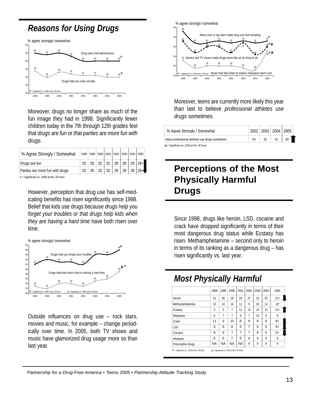## *Reasons for Using Drugs*

 <sup>54</sup> <sup>55</sup> 50 50 50 50 43 42 41 41 40 40 1998 1999 2000 2001 2002 2003 2004 2005 % % agree strongly / somewhat **+** *= Significant vs. 1998 at the .05 level*  $_{\text{+}}$ + Drugs help you relax socially Drug users feel adventurous

Moreover, drugs no longer share as much of the fun image they had in 1998. Significantly fewer children today in the 7th through 12th grades feel that *drugs are fun* or *that parties are more fun with drugs.*

| % Agree Strongly / Somewhat     | 1998 |    |  | 1999   2000   2001   2002   2003   2004   2005 |  |                                               |
|---------------------------------|------|----|--|------------------------------------------------|--|-----------------------------------------------|
| Drugs are fun                   |      | 30 |  |                                                |  | $32 \mid 32 \mid 30 \mid 30 \mid 29 \mid 28.$ |
| Parties are more fun with drugs |      | 30 |  | $32 \mid 32 \mid 29 \mid 29 \mid 28$           |  |                                               |

**+** *= Significant vs. 1998 at the .05 level*

However, perception that drug use has self-medicating benefits has risen significantly since 1998. Belief that kids use drugs because *drugs help you forget your troubles* or *that drugs help kids when they are having a hard time* have both risen over time.



Outside influences on drug use – rock stars, movies and music, for example – change periodically over time. In 2005, both TV shows and music have glamorized drug usage more so than last year.



Moreover, teens are currently more likely this year than last to believe *professional athletes use drugs sometimes.*

| % Agree Strongly / Somewhat                     |    | 2002   2003   2004   2005 |    |       |
|-------------------------------------------------|----|---------------------------|----|-------|
| Many professional athletes use drugs sometimes  | 54 | 53                        | 52 | $55*$ |
| $\star$ = Significant vs. 2004 at the .05 level |    |                           |    |       |

# **Perceptions of the Most Physically Harmful Drugs**

Since 1998, drugs like heroin, LSD, cocaine and crack have dropped significantly in terms of their most dangerous drug status while Ecstasy has risen. Methamphetamine – second only to heroin in terms of its ranking as a dangerous drug – has risen significantly vs. last year.

# *Most Physically Harmful*

|                    | 1998      | 1999      | 2000           | 2001      | 2002 | 2003             | 2004 | 2005           |
|--------------------|-----------|-----------|----------------|-----------|------|------------------|------|----------------|
| Heroin             | 31        | 30        | 28             | 29        | 27   | 23               | 20   | $21+$          |
| Methamphetamine    | 13        | 14        | 14             | 11        | 9    | 10 <sup>10</sup> | 12   | $15*$          |
| Ecstasy            | 5         | 5         | 7              | 11        | 12   | 14               | 14   | $14+$          |
| Marijuana          | 8         | 7         | $\overline{7}$ | 8         | 7    | 10 <sup>10</sup> | 9    | 9              |
| Crack              | 11        | 9         | 10             | 8         | 9    | 8                | 8    | $8+$           |
| ISD                | 8         | 8         | 8              | 6         | 7    | 6                | 6    | $6+$           |
| Cocaine            | 9         | 9         | 7              | 7         | 7    | 8                | 6    | $5+$           |
| <b>Inhalants</b>   | 6         | 6         | 7              | 8         | 6    | 4                | 4    | 5              |
| Prescription drugs | <b>NA</b> | <b>NA</b> | <b>NA</b>      | <b>NA</b> | 4    | 4                | 4    | $\overline{4}$ |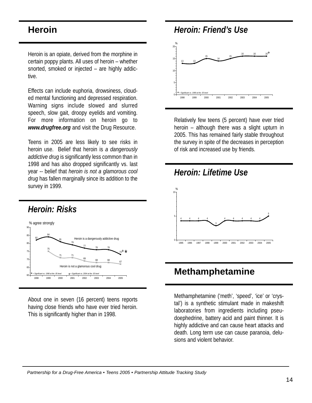## **Heroin**

Heroin is an opiate, derived from the morphine in certain poppy plants. All uses of heroin – whether snorted, smoked or injected – are highly addictive.

Effects can include euphoria, drowsiness, clouded mental functioning and depressed respiration. Warning signs include slowed and slurred speech, slow gait, droopy eyelids and vomiting. For more information on heroin go to *www.drugfree.org* and visit the Drug Resource.

Teens in 2005 are less likely to see risks in heroin use. Belief that heroin is *a dangerously addictive drug* is significantly less common than in 1998 and has also dropped significantly vs. last year -- belief that *heroin is not a glamorous cool drug* has fallen marginally since its addition to the survey in 1999.



About one in seven (16 percent) teens reports having close friends who have ever tried heroin. This is significantly higher than in 1998.



Relatively few teens (5 percent) have ever tried heroin – although there was a slight upturn in 2005. This has remained fairly stable throughout the survey in spite of the decreases in perception of risk and increased use by friends.



## **Methamphetamine**

Methamphetamine ('meth', 'speed', 'ice' or 'crystal') is a synthetic stimulant made in makeshift laboratories from ingredients including pseudoephedrine, battery acid and paint thinner. It is highly addictive and can cause heart attacks and death. Long term use can cause paranoia, delusions and violent behavior.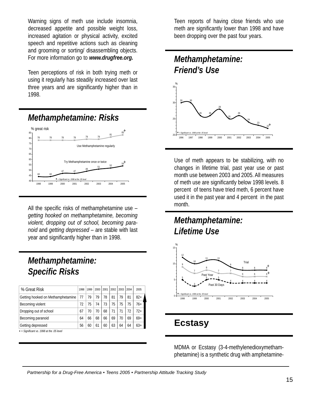Warning signs of meth use include insomnia, decreased appetite and possible weight loss, increased agitation or physical activity, excited speech and repetitive actions such as cleaning and grooming or sorting/ disassembling objects. For more information go to *www.drugfree.org.*

Teen perceptions of risk in both trying meth or using it regularly has steadily increased over last three years and are significantly higher than in 1998.

### *Methamphetamine: Risks* % % great risk



All the specific risks of methamphetamine use – *getting hooked on methamphetamine, becoming violent, dropping out of school, becoming paranoid* and *getting depressed* – are stable with last year and significantly higher than in 1998.

# *Methamphetamine: Specific Risks*

| % Great Risk                                | 1998 | 1999 | 2000 | 2001 | 2002 | 2003 | 2004 | 2005  |
|---------------------------------------------|------|------|------|------|------|------|------|-------|
| Getting hooked on Methamphetamine           | 77   | 79   | 79   | 78   | 81   | 79   | 81   | $82+$ |
| Becoming violent                            | 72   | 75   | 74   | 73   | 75   | 75   | 75   | $76+$ |
| Dropping out of school                      | 67   | 70   | 70   | 68   | 71   | 71   | 72   | $72+$ |
| Becoming paranoid                           | 64   | 66   | 68   | 66   | 69   | 70   | 69   | $69+$ |
| Getting depressed                           | 56   | 60   | 61   | 60   | 63   | 64   | 64   | $63+$ |
| $+$ = Significant vs. 1998 at the .05 level |      |      |      |      |      |      |      |       |

**+** *= Significant vs. 1998 at the .05 level*

Teen reports of having close friends who use meth are significantly lower than 1998 and have been dropping over the past four years.

## *Methamphetamine: Friend's Use*



Use of meth appears to be stabilizing, with no changes in lifetime trial, past year use or past month use between 2003 and 2005. All measures of meth use are significantly below 1998 levels. 8 percent of teens have tried meth, 6 percent have used it in the past year and 4 percent in the past month.

# *Methamphetamine: Lifetime Use*



# **Ecstasy**

MDMA or Ecstasy (3-4-methylenedioxymethamphetamine) is a synthetic drug with amphetamine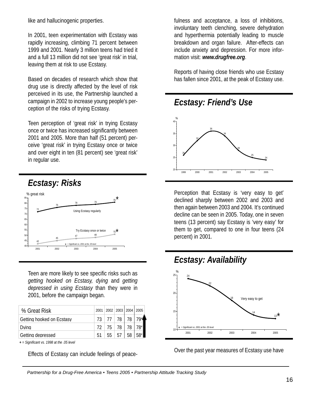like and hallucinogenic properties.

In 2001, teen experimentation with Ecstasy was rapidly increasing, climbing 71 percent between 1999 and 2001. Nearly 3 million teens had tried it and a full 13 million did not see 'great risk' in trial, leaving them at risk to use Ecstasy.

Based on decades of research which show that drug use is directly affected by the level of risk perceived in its use, the Partnership launched a campaign in 2002 to increase young people's perception of the risks of trying Ecstasy.

Teen perception of 'great risk' in trying Ecstasy once or twice has increased significantly between 2001 and 2005. More than half (51 percent) perceive 'great risk' in trying Ecstasy once or twice and over eight in ten (81 percent) see 'great risk' in regular use.



Teen are more likely to see specific risks such as *getting hooked on Ecstasy, dying* and *getting depressed in using Ecstasy* than they were in 2001, before the campaign began.

| % Great Risk              | 2001 2002 2003 2004 2005 |                   |      |                   |
|---------------------------|--------------------------|-------------------|------|-------------------|
| Getting hooked on Ecstasy | 73 77 78 78 7            |                   |      |                   |
| Dvina                     | 72 75 78 78 7            |                   |      |                   |
| Getting depressed         |                          | $55 \mid 57 \mid$ | 58 L | $58$ <sup>*</sup> |

**+** *= Significant vs. 1998 at the .05 level*

Effects of Ecstasy can include feelings of peace-

fulness and acceptance, a loss of inhibitions, involuntary teeth clenching, severe dehydration and hyperthermia potentially leading to muscle breakdown and organ failure. After-effects can include anxiety and depression. For more information visit: *www.drugfree.org*.

Reports of having close friends who use Ecstasy has fallen since 2001, at the peak of Ecstasy use.



Perception that Ecstasy is 'very easy to get' declined sharply between 2002 and 2003 and then again between 2003 and 2004. It's continued decline can be seen in 2005. Today, one in seven teens (13 percent) say Ecstasy is 'very easy' for them to get, compared to one in four teens (24 percent) in 2001.



Over the past year measures of Ecstasy use have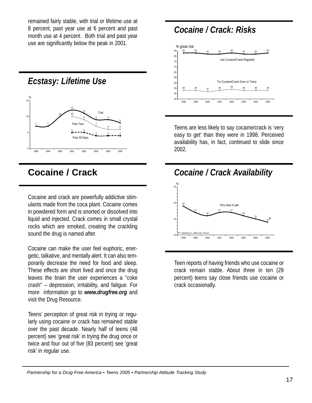remained fairly stable, with trial or lifetime use at 8 percent, past year use at 6 percent and past month use at 4 percent. Both trial and past year use are significantly below the peak in 2001.

## *Ecstasy: Lifetime Use*



## **Cocaine / Crack**

Cocaine and crack are powerfully addictive stimulants made from the coca plant. Cocaine comes in powdered form and is snorted or dissolved into liquid and injected. Crack comes in small crystal rocks which are smoked, creating the crackling sound the drug is named after.

Cocaine can make the user feel euphoric, energetic, talkative, and mentally alert. It can also temporarily decrease the need for food and sleep. These effects are short lived and once the drug leaves the brain the user experiences a "coke crash" – depression, irritability, and fatigue. For more information go to *www.drugfree.org* and visit the Drug Resource.

Teens' perception of great risk in trying or regularly using cocaine or crack has remained stable over the past decade. Nearly half of teens (48 percent) see 'great risk' in trying the drug once or twice and four out of five (83 percent) see 'great risk' in regular use.

## *Cocaine / Crack: Risks*



Teens are less likely to say cocaine/crack is 'very easy to get' than they were in 1998. Perceived availability has, in fact, continued to slide since 2002.



Teen reports of having friends who use cocaine or crack remain stable. About three in ten (29 percent) teens say close friends use cocaine or crack occasionally.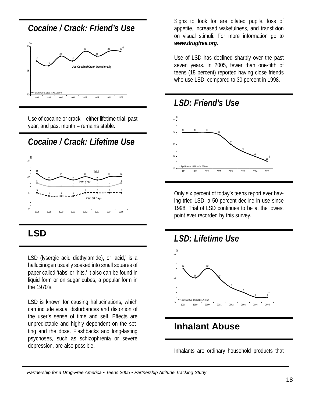## *Cocaine / Crack: Friend's Use*



Use of cocaine or crack – either lifetime trial, past year, and past month – remains stable.

# *Cocaine / Crack: Lifetime Use*



# **LSD**

LSD (lysergic acid diethylamide), or 'acid,' is a hallucinogen usually soaked into small squares of paper called 'tabs' or 'hits.' It also can be found in liquid form or on sugar cubes, a popular form in the 1970's.

LSD is known for causing hallucinations, which can include visual disturbances and distortion of the user's sense of time and self. Effects are unpredictable and highly dependent on the setting and the dose. Flashbacks and long-lasting psychoses, such as schizophrenia or severe depression, are also possible.

Signs to look for are dilated pupils, loss of appetite, increased wakefulness, and transfixion on visual stimuli. For more information go to *www.drugfree.org.*

Use of LSD has declined sharply over the past seven years. In 2005, fewer than one-fifth of teens (18 percent) reported having close friends who use LSD, compared to 30 percent in 1998.



Only six percent of today's teens report ever having tried LSD, a 50 percent decline in use since 1998. Trial of LSD continues to be at the lowest point ever recorded by this survey.



# **Inhalant Abuse**

Inhalants are ordinary household products that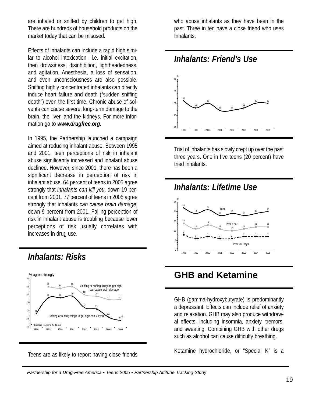are inhaled or sniffed by children to get high. There are hundreds of household products on the market today that can be misused.

Effects of inhalants can include a rapid high similar to alcohol intoxication –i.e. initial excitation, then drowsiness, disinhibition, lightheadedness, and agitation. Anesthesia, a loss of sensation, and even unconsciousness are also possible. Sniffing highly concentrated inhalants can directly induce heart failure and death ("sudden sniffing death") even the first time. Chronic abuse of solvents can cause severe, long-term damage to the brain, the liver, and the kidneys. For more information go to *www.drugfree.org.*

In 1995, the Partnership launched a campaign aimed at reducing inhalant abuse. Between 1995 and 2001, teen perceptions of risk in inhalant abuse significantly increased and inhalant abuse declined. However, since 2001, there has been a significant decrease in perception of risk in inhalant abuse. 64 percent of teens in 2005 agree strongly that *inhalants can kill you*, down 19 percent from 2001. 77 percent of teens in 2005 agree strongly that inhalants *can cause brain damage*, down 9 percent from 2001. Falling perception of risk in inhalant abuse is troubling because lower perceptions of risk usually correlates with increases in drug use.

*Inhalants: Risks*



Teens are as likely to report having close friends

who abuse inhalants as they have been in the past. Three in ten have a close friend who uses Inhalants.





Trial of inhalants has slowly crept up over the past three years. One in five teens (20 percent) have tried inhalants.



# **GHB and Ketamine**

GHB (gamma-hydroxybutyrate) is predominantly a depressant. Effects can include relief of anxiety and relaxation. GHB may also produce withdrawal effects, including insomnia, anxiety, tremors, and sweating. Combining GHB with other drugs such as alcohol can cause difficulty breathing.

Ketamine hydrochloride, or "Special K" is a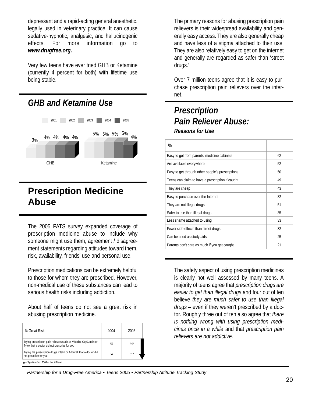depressant and a rapid-acting general anesthetic, legally used in veterinary practice. It can cause sedative-hypnotic, analgesic, and hallucinogenic effects. For more information go to *www.drugfree.org.*

Very few teens have ever tried GHB or Ketamine (currently 4 percent for both) with lifetime use being stable.



## **Prescription Medicine Abuse**

The 2005 PATS survey expanded coverage of prescription medicine abuse to include why someone might use them, agreement / disagreement statements regarding attitudes toward them, risk, availability, friends' use and personal use.

Prescription medications can be extremely helpful to those for whom they are prescribed. However, non-medical use of these substances can lead to serious health risks including addiction.

About half of teens do not see a great risk in abusing prescription medicine.

| % Great Risk                                                                                                      | 2004 | 2005  |
|-------------------------------------------------------------------------------------------------------------------|------|-------|
| Trying prescription pain relievers such as Vicodin, OxyContin or<br>Tylox that a doctor did not prescribe for you | 48   | $44*$ |
| Trying the prescription drugs Ritalin or Adderall that a doctor did<br>not prescribe for you                      | 54   | $51*$ |
| $\star$ = Significant vs. 2004 at the .05 level                                                                   |      |       |

The primary reasons for abusing prescription pain relievers is their widespread availability and generally easy access. They are also generally cheap and have less of a stigma attached to their use. They are also relatively easy to get on the internet and generally are regarded as safer than 'street drugs.'

Over 7 million teens agree that it is easy to purchase prescription pain relievers over the internet.

## *Prescription Pain Reliever Abuse: Reasons for Use*

| %                                                |    |
|--------------------------------------------------|----|
| Easy to get from parents' medicine cabinets      | 62 |
| Are available everywhere                         | 52 |
| Easy to get through other people's prescriptions | 50 |
| Teens can claim to have a prescription if caught | 49 |
| They are cheap                                   | 43 |
| Easy to purchase over the Internet               | 32 |
| They are not illegal drugs                       | 51 |
| Safer to use than illegal drugs                  | 35 |
| Less shame attached to using                     | 33 |
| Fewer side effects than street drugs             | 32 |
| Can be used as study aids                        | 25 |
| Parents don't care as much if you get caught     | 21 |

The safety aspect of using prescription medicines is clearly not well assessed by many teens. A majority of teens agree that *prescription drugs are easier to get than illegal drugs* and four out of ten believe *they are much safer to use than illegal drugs* – even if they weren't prescribed by a doctor. Roughly three out of ten also agree that *there is nothing wrong with using prescription medicines once in a while* and that *prescription pain relievers are not addictive.*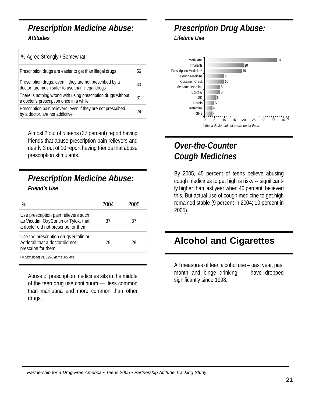#### *Prescription Medicine Abuse: Attitudes*

| % Agree Strongly / Somewhat                                                                                  |    |
|--------------------------------------------------------------------------------------------------------------|----|
| Prescription drugs are easier to get than illegal drugs                                                      | 56 |
| Prescription drugs, even if they are not prescribed by a<br>doctor, are much safer to use than illegal drugs | 40 |
| There is nothing wrong with using prescription drugs without<br>a doctor's prescription once in a while      | 31 |
| Prescription pain relievers, even if they are not prescribed<br>by a doctor, are not addictive               |    |

Almost 2 out of 5 teens (37 percent) report having friends that abuse prescription pain relievers and nearly 3 out of 10 report having friends that abuse prescription stimulants.

## *Prescription Medicine Abuse: Friend's Use*

| ℅                                                                                                                   | 2004 | 2005 |
|---------------------------------------------------------------------------------------------------------------------|------|------|
| Use prescription pain relievers such<br>as Vicodin, OxyContin or Tylox, that<br>a doctor did not prescribe for them | 37   | 37   |
| Use the prescription drugs Ritalin or<br>Adderall that a doctor did not<br>prescribe for them                       | 29   | 29   |

**+** *= Significant vs. 1998 at the .05 level*

Abuse of prescription medicines sits in the middle of the teen drug use continuum — less common than marijuana and more common than other drugs.

### *Prescription Drug Abuse: Lifetime Use*



# *Over-the-Counter Cough Medicines*

By 2005, 45 percent of teens believe abusing cough medicines to get high is risky -- significantly higher than last year when 40 percent believed this. But actual use of cough medicine to get high remained stable (9 percent in 2004; 10 percent in 2005).

# **Alcohol and Cigarettes**

All measures of teen alcohol use – past year, past month and binge drinking – have dropped significantly since 1998.